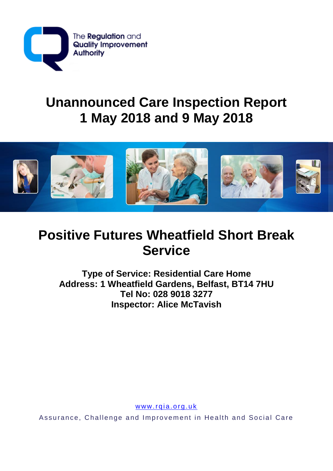

# **Unannounced Care Inspection Report 1 May 2018 and 9 May 2018**



# **Positive Futures Wheatfield Short Break Service**

**Type of Service: Residential Care Home Address: 1 Wheatfield Gardens, Belfast, BT14 7HU Tel No: 028 9018 3277 Inspector: Alice McTavish**

www.rqia.org.uk

Assurance, Challenge and Improvement in Health and Social Care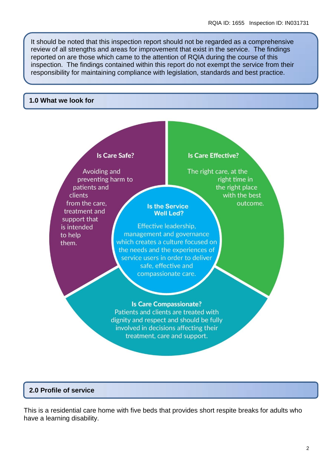It should be noted that this inspection report should not be regarded as a comprehensive review of all strengths and areas for improvement that exist in the service. The findings reported on are those which came to the attention of RQIA during the course of this inspection. The findings contained within this report do not exempt the service from their responsibility for maintaining compliance with legislation, standards and best practice.

#### **1.0 What we look for**

#### **Is Care Safe?**

Avoiding and preventing harm to patients and clients from the care. treatment and support that is intended to help them.

#### **Is Care Effective?**

The right care, at the right time in the right place with the best outcome.

Effective leadership. management and governance which creates a culture focused on the needs and the experiences of service users in order to deliver safe, effective and compassionate care.

**Is the Service** 

**Well Led?** 

## **Is Care Compassionate?**

Patients and clients are treated with dignity and respect and should be fully involved in decisions affecting their treatment, care and support.

## **2.0 Profile of service**

This is a residential care home with five beds that provides short respite breaks for adults who have a learning disability.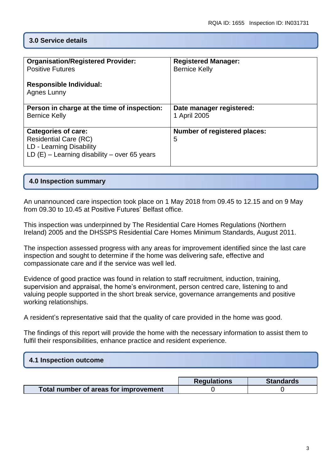## **3.0 Service details**

| <b>Organisation/Registered Provider:</b><br><b>Positive Futures</b><br><b>Responsible Individual:</b><br>Agnes Lunny                     | <b>Registered Manager:</b><br><b>Bernice Kelly</b> |
|------------------------------------------------------------------------------------------------------------------------------------------|----------------------------------------------------|
| Person in charge at the time of inspection:<br><b>Bernice Kelly</b>                                                                      | Date manager registered:<br>1 April 2005           |
| <b>Categories of care:</b><br><b>Residential Care (RC)</b><br>LD - Learning Disability<br>LD $(E)$ – Learning disability – over 65 years | <b>Number of registered places:</b><br>5           |

#### **4.0 Inspection summary**

An unannounced care inspection took place on 1 May 2018 from 09.45 to 12.15 and on 9 May from 09.30 to 10.45 at Positive Futures' Belfast office.

This inspection was underpinned by The Residential Care Homes Regulations (Northern Ireland) 2005 and the DHSSPS Residential Care Homes Minimum Standards, August 2011.

The inspection assessed progress with any areas for improvement identified since the last care inspection and sought to determine if the home was delivering safe, effective and compassionate care and if the service was well led.

Evidence of good practice was found in relation to staff recruitment, induction, training, supervision and appraisal, the home's environment, person centred care, listening to and valuing people supported in the short break service, governance arrangements and positive working relationships.

A resident's representative said that the quality of care provided in the home was good.

The findings of this report will provide the home with the necessary information to assist them to fulfil their responsibilities, enhance practice and resident experience.

## **4.1 Inspection outcome**

|                                       | <b>Regulations</b> | <b>Standards</b> |
|---------------------------------------|--------------------|------------------|
| Total number of areas for improvement |                    |                  |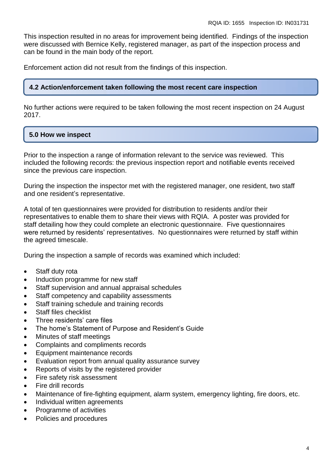This inspection resulted in no areas for improvement being identified. Findings of the inspection were discussed with Bernice Kelly, registered manager, as part of the inspection process and can be found in the main body of the report.

Enforcement action did not result from the findings of this inspection.

## **4.2 Action/enforcement taken following the most recent care inspection**

No further actions were required to be taken following the most recent inspection on 24 August 2017.

# **5.0 How we inspect**

Prior to the inspection a range of information relevant to the service was reviewed. This included the following records: the previous inspection report and notifiable events received since the previous care inspection.

During the inspection the inspector met with the registered manager, one resident, two staff and one resident's representative.

A total of ten questionnaires were provided for distribution to residents and/or their representatives to enable them to share their views with RQIA. A poster was provided for staff detailing how they could complete an electronic questionnaire. Five questionnaires were returned by residents' representatives. No questionnaires were returned by staff within the agreed timescale.

During the inspection a sample of records was examined which included:

- Staff duty rota
- Induction programme for new staff
- Staff supervision and annual appraisal schedules
- Staff competency and capability assessments
- Staff training schedule and training records
- Staff files checklist
- Three residents' care files
- The home's Statement of Purpose and Resident's Guide
- Minutes of staff meetings
- Complaints and compliments records
- **Equipment maintenance records**
- Evaluation report from annual quality assurance survey
- Reports of visits by the registered provider
- Fire safety risk assessment
- Fire drill records
- Maintenance of fire-fighting equipment, alarm system, emergency lighting, fire doors, etc.
- Individual written agreements
- Programme of activities
- Policies and procedures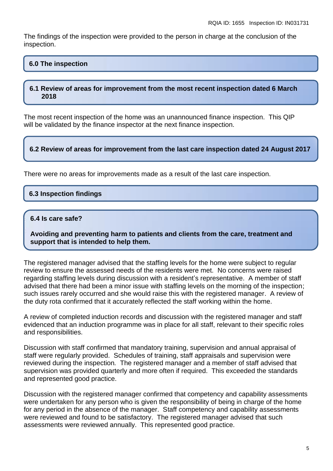The findings of the inspection were provided to the person in charge at the conclusion of the inspection.

## **6.0 The inspection**

#### **6.1 Review of areas for improvement from the most recent inspection dated 6 March 2018**

The most recent inspection of the home was an unannounced finance inspection. This QIP will be validated by the finance inspector at the next finance inspection.

#### **6.2 Review of areas for improvement from the last care inspection dated 24 August 2017**

There were no areas for improvements made as a result of the last care inspection.

## **6.3 Inspection findings**

#### **6.4 Is care safe?**

**Avoiding and preventing harm to patients and clients from the care, treatment and support that is intended to help them.**

The registered manager advised that the staffing levels for the home were subject to regular review to ensure the assessed needs of the residents were met. No concerns were raised regarding staffing levels during discussion with a resident's representative. A member of staff advised that there had been a minor issue with staffing levels on the morning of the inspection; such issues rarely occurred and she would raise this with the registered manager. A review of the duty rota confirmed that it accurately reflected the staff working within the home.

A review of completed induction records and discussion with the registered manager and staff evidenced that an induction programme was in place for all staff, relevant to their specific roles and responsibilities.

Discussion with staff confirmed that mandatory training, supervision and annual appraisal of staff were regularly provided. Schedules of training, staff appraisals and supervision were reviewed during the inspection*.* The registered manager and a member of staff advised that supervision was provided quarterly and more often if required.This exceeded the standards and represented good practice.

Discussion with the registered manager confirmed that competency and capability assessments were undertaken for any person who is given the responsibility of being in charge of the home for any period in the absence of the manager. Staff competency and capability assessments were reviewed and found to be satisfactory. The registered manager advised that such assessments were reviewed annually. This represented good practice.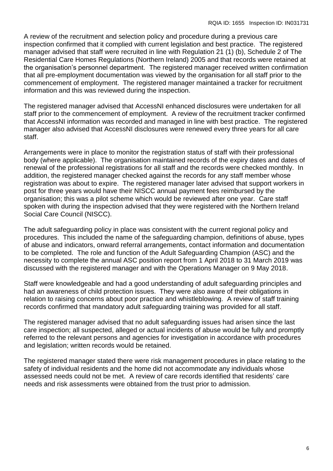A review of the recruitment and selection policy and procedure during a previous care inspection confirmed that it complied with current legislation and best practice. The registered manager advised that staff were recruited in line with Regulation 21 (1) (b), Schedule 2 of The Residential Care Homes Regulations (Northern Ireland) 2005 and that records were retained at the organisation's personnel department. The registered manager received written confirmation that all pre-employment documentation was viewed by the organisation for all staff prior to the commencement of employment. The registered manager maintained a tracker for recruitment information and this was reviewed during the inspection.

The registered manager advised that AccessNI enhanced disclosures were undertaken for all staff prior to the commencement of employment. A review of the recruitment tracker confirmed that AccessNI information was recorded and managed in line with best practice. The registered manager also advised that AccessNI disclosures were renewed every three years for all care staff.

Arrangements were in place to monitor the registration status of staff with their professional body (where applicable). The organisation maintained records of the expiry dates and dates of renewal of the professional registrations for all staff and the records were checked monthly. In addition, the registered manager checked against the records for any staff member whose registration was about to expire. The registered manager later advised that support workers in post for three years would have their NISCC annual payment fees reimbursed by the organisation; this was a pilot scheme which would be reviewed after one year. Care staff spoken with during the inspection advised that they were registered with the Northern Ireland Social Care Council (NISCC).

The adult safeguarding policy in place was consistent with the current regional policy and procedures. This included the name of the safeguarding champion, definitions of abuse, types of abuse and indicators, onward referral arrangements, contact information and documentation to be completed. The role and function of the Adult Safeguarding Champion (ASC) and the necessity to complete the annual ASC position report from 1 April 2018 to 31 March 2019 was discussed with the registered manager and with the Operations Manager on 9 May 2018.

Staff were knowledgeable and had a good understanding of adult safeguarding principles and had an awareness of child protection issues. They were also aware of their obligations in relation to raising concerns about poor practice and whistleblowing. A review of staff training records confirmed that mandatory adult *s*afeguarding training was provided for all staff.

The registered manager advised that no adult safeguarding issues had arisen since the last care inspection; all suspected, alleged or actual incidents of abuse would be fully and promptly referred to the relevant persons and agencies for investigation in accordance with procedures and legislation; written records would be retained.

The registered manager stated there were risk management procedures in place relating to the safety of individual residents and the home did not accommodate any individuals whose assessed needs could not be met. A review of care records identified that residents' care needs and risk assessments were obtained from the trust prior to admission.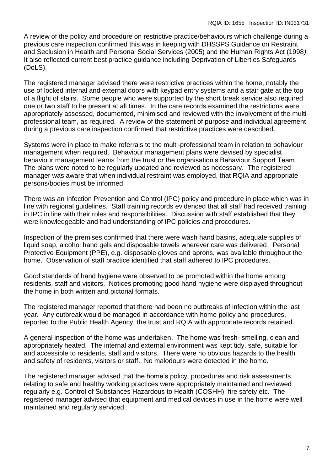A review of the policy and procedure on restrictive practice/behaviours which challenge during a previous care inspection confirmed this was in keeping with DHSSPS Guidance on Restraint and Seclusion in Health and Personal Social Services (2005) and the Human Rights Act (1998*).*  It also reflected current best practice guidance including Deprivation of Liberties Safeguards (DoLS).

The registered manager advised there were restrictive practices within the home, notably the use of locked internal and external doors with keypad entry systems and a stair gate at the top of a flight of stairs. Some people who were supported by the short break service also required one or two staff to be present at all times. In the care records examined the restrictions were appropriately assessed, documented, minimised and reviewed with the involvement of the multiprofessional team, as required. A review of the statement of purpose and individual agreement during a previous care inspection confirmed that restrictive practices were described.

Systems were in place to make referrals to the multi-professional team in relation to behaviour management when required. Behaviour management plans were devised by specialist behaviour management teams from the trust or the organisation's Behaviour Support Team. The plans were noted to be regularly updated and reviewed as necessary. The registered manager was aware that when individual restraint was employed, that RQIA and appropriate persons/bodies must be informed.

There was an Infection Prevention and Control (IPC) policy and procedure in place which was in line with regional guidelines. Staff training records evidenced that all staff had received training in IPC in line with their roles and responsibilities. Discussion with staff established that they were knowledgeable and had understanding of IPC policies and procedures.

Inspection of the premises confirmed that there were wash hand basins, adequate supplies of liquid soap, alcohol hand gels and disposable towels wherever care was delivered. Personal Protective Equipment (PPE), e.g. disposable gloves and aprons, was available throughout the home. Observation of staff practice identified that staff adhered to IPC procedures.

Good standards of hand hygiene were observed to be promoted within the home among residents, staff and visitors. Notices promoting good hand hygiene were displayed throughout the home in both written and pictorial formats.

The registered manager reported that there had been no outbreaks of infection within the last year. Any outbreak would be managed in accordance with home policy and procedures, reported to the Public Health Agency, the trust and RQIA with appropriate records retained.

A general inspection of the home was undertaken. The home was fresh- smelling, clean and appropriately heated. The internal and external environment was kept tidy, safe, suitable for and accessible to residents, staff and visitors. There were no obvious hazards to the health and safety of residents, visitors or staff. No malodours were detected in the home.

The registered manager advised that the home's policy, procedures and risk assessments relating to safe and healthy working practices were appropriately maintained and reviewed regularly e.g. Control of Substances Hazardous to Health (COSHH), fire safety etc*.* The registered manager advised that equipment and medical devices in use in the home were well maintained and regularly serviced.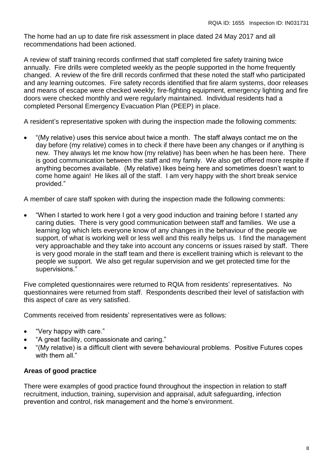The home had an up to date fire risk assessment in place dated 24 May 2017 and all recommendations had been actioned.

A review of staff training records confirmed that staff completed fire safety training twice annually. Fire drills were completed weekly as the people supported in the home frequently changed. A review of the fire drill records confirmed that these noted the staff who participated and any learning outcomes. Fire safety records identified that fire alarm systems, door releases and means of escape were checked weekly; fire-fighting equipment, emergency lighting and fire doors were checked monthly and were regularly maintained. Individual residents had a completed Personal Emergency Evacuation Plan (PEEP) in place.

A resident's representative spoken with during the inspection made the following comments:

 "(My relative) uses this service about twice a month. The staff always contact me on the day before (my relative) comes in to check if there have been any changes or if anything is new. They always let me know how (my relative) has been when he has been here. There is good communication between the staff and my family. We also get offered more respite if anything becomes available. (My relative) likes being here and sometimes doesn't want to come home again! He likes all of the staff. I am very happy with the short break service provided."

A member of care staff spoken with during the inspection made the following comments:

 "When I started to work here I got a very good induction and training before I started any caring duties. There is very good communication between staff and families. We use a learning log which lets everyone know of any changes in the behaviour of the people we support, of what is working well or less well and this really helps us. I find the management very approachable and they take into account any concerns or issues raised by staff. There is very good morale in the staff team and there is excellent training which is relevant to the people we support. We also get regular supervision and we get protected time for the supervisions."

Five completed questionnaires were returned to RQIA from residents' representatives. No questionnaires were returned from staff. Respondents described their level of satisfaction with this aspect of care as very satisfied.

Comments received from residents' representatives were as follows:

- "Very happy with care."
- "A great facility, compassionate and caring."
- "(My relative) is a difficult client with severe behavioural problems. Positive Futures copes with them all."

## **Areas of good practice**

There were examples of good practice found throughout the inspection in relation to staff recruitment, induction, training, supervision and appraisal, adult safeguarding, infection prevention and control, risk management and the home's environment.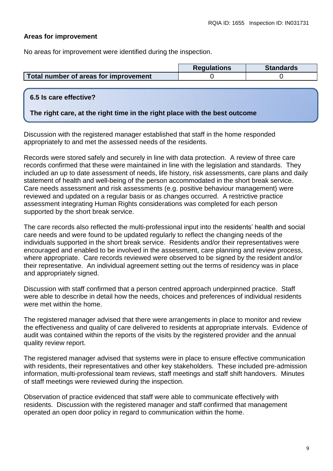## **Areas for improvement**

No areas for improvement were identified during the inspection.

|                                       | <b>Requlations</b> | <b>Standards</b> |
|---------------------------------------|--------------------|------------------|
| Total number of areas for improvement |                    |                  |

## **6.5 Is care effective?**

## **The right care, at the right time in the right place with the best outcome**

Discussion with the registered manager established that staff in the home responded appropriately to and met the assessed needs of the residents.

Records were stored safely and securely in line with data protection. A review of three care records confirmed that these were maintained in line with the legislation and standards. They included an up to date assessment of needs, life history, risk assessments, care plans and daily statement of health and well-being of the person accommodated in the short break service. Care needs assessment and risk assessments (e.g. positive behaviour management) were reviewed and updated on a regular basis or as changes occurred. A restrictive practice assessment integrating Human Rights considerations was completed for each person supported by the short break service.

The care records also reflected the multi-professional input into the residents' health and social care needs and were found to be updated regularly to reflect the changing needs of the individuals supported in the short break service. Residents and/or their representatives were encouraged and enabled to be involved in the assessment, care planning and review process, where appropriate. Care records reviewed were observed to be signed by the resident and/or their representative. An individual agreement setting out the terms of residency was in place and appropriately signed.

Discussion with staff confirmed that a person centred approach underpinned practice. Staff were able to describe in detail how the needs, choices and preferences of individual residents were met within the home.

The registered manager advised that there were arrangements in place to monitor and review the effectiveness and quality of care delivered to residents at appropriate intervals.Evidence of audit was contained within the reports of the visits by the registered provider and the annual quality review report.

The registered manager advised that systems were in place to ensure effective communication with residents, their representatives and other key stakeholders. These included pre-admission information, multi-professional team reviews, staff meetings and staff shift handovers. Minutes of staff meetings were reviewed during the inspection.

Observation of practice evidenced that staff were able to communicate effectively with residents. Discussion with the registered manager and staff confirmed that management operated an open door policy in regard to communication within the home.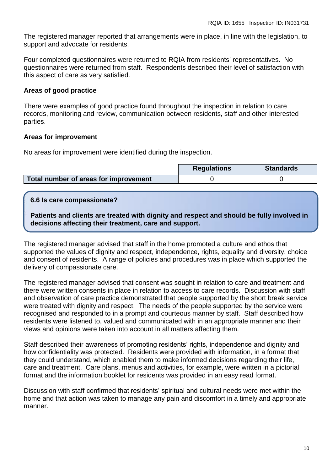The registered manager reported that arrangements were in place, in line with the legislation, to support and advocate for residents.

Four completed questionnaires were returned to RQIA from residents' representatives. No questionnaires were returned from staff. Respondents described their level of satisfaction with this aspect of care as very satisfied.

# **Areas of good practice**

There were examples of good practice found throughout the inspection in relation to care records, monitoring and review, communication between residents, staff and other interested parties.

## **Areas for improvement**

No areas for improvement were identified during the inspection.

|                                       | <b>Regulations</b> | <b>Standards</b> |
|---------------------------------------|--------------------|------------------|
| Total number of areas for improvement |                    |                  |

# **6.6 Is care compassionate?**

**Patients and clients are treated with dignity and respect and should be fully involved in decisions affecting their treatment, care and support.**

The registered manager advised that staff in the home promoted a culture and ethos that supported the values of dignity and respect, independence, rights, equality and diversity, choice and consent of residents. A range of policies and procedures was in place which supported the delivery of compassionate care.

The registered manager advised that consent was sought in relation to care and treatment and there were written consents in place in relation to access to care records. Discussion with staff and observation of care practice demonstrated that people supported by the short break service were treated with dignity and respect. The needs of the people supported by the service were recognised and responded to in a prompt and courteous manner by staff. Staff described how residents were listened to, valued and communicated with in an appropriate manner and their views and opinions were taken into account in all matters affecting them.

Staff described their awareness of promoting residents' rights, independence and dignity and how confidentiality was protected. Residents were provided with information, in a format that they could understand, which enabled them to make informed decisions regarding their life, care and treatment. Care plans, menus and activities, for example, were written in a pictorial format and the information booklet for residents was provided in an easy read format.

Discussion with staff confirmed that residents' spiritual and cultural needs were met within the home and that action was taken to manage any pain and discomfort in a timely and appropriate manner.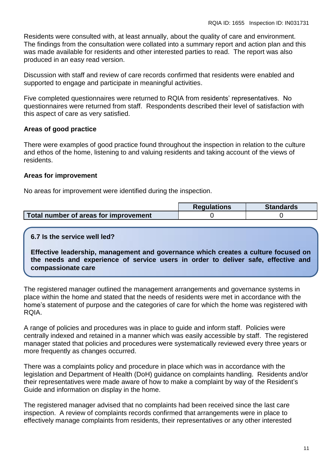Residents were consulted with, at least annually, about the quality of care and environment. The findings from the consultation were collated into a summary report and action plan and this was made available for residents and other interested parties to read. The report was also produced in an easy read version.

Discussion with staff and review of care records confirmed that residents were enabled and supported to engage and participate in meaningful activities.

Five completed questionnaires were returned to RQIA from residents' representatives. No questionnaires were returned from staff. Respondents described their level of satisfaction with this aspect of care as very satisfied.

# **Areas of good practice**

There were examples of good practice found throughout the inspection in relation to the culture and ethos of the home, listening to and valuing residents and taking account of the views of residents.

## **Areas for improvement**

No areas for improvement were identified during the inspection.

|                                       | <b>Requlations</b> | <b>Standards</b> |
|---------------------------------------|--------------------|------------------|
| Total number of areas for improvement |                    |                  |

## **6.7 Is the service well led?**

**Effective leadership, management and governance which creates a culture focused on the needs and experience of service users in order to deliver safe, effective and compassionate care**

The registered manager outlined the management arrangements and governance systems in place within the home and stated that the needs of residents were met in accordance with the home's statement of purpose and the categories of care for which the home was registered with RQIA.

A range of policies and procedures was in place to guide and inform staff. Policies were centrally indexed and retained in a manner which was easily accessible by staff. The registered manager stated that policies and procedures were systematically reviewed every three years or more frequently as changes occurred.

There was a complaints policy and procedure in place which was in accordance with the legislation and Department of Health (DoH) guidance on complaints handling. Residents and/or their representatives were made aware of how to make a complaint by way of the Resident's Guide and information on display in the home.

The registered manager advised that no complaints had been received since the last care inspection. A review of complaints records confirmed that arrangements were in place to effectively manage complaints from residents, their representatives or any other interested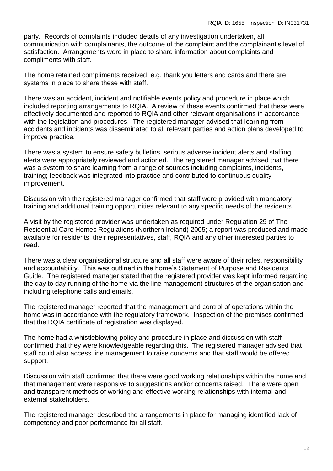party. Records of complaints included details of any investigation undertaken, all communication with complainants, the outcome of the complaint and the complainant's level of satisfaction. Arrangements were in place to share information about complaints and compliments with staff.

The home retained compliments received, e.g. thank you letters and cards and there are systems in place to share these with staff.

There was an accident, incident and notifiable events policy and procedure in place which included reporting arrangements to RQIA. A review of these events confirmed that these were effectively documented and reported to RQIA and other relevant organisations in accordance with the legislation and procedures. The registered manager advised that learning from accidents and incidents was disseminated to all relevant parties and action plans developed to improve practice.

There was a system to ensure safety bulletins, serious adverse incident alerts and staffing alerts were appropriately reviewed and actioned. The registered manager advised that there was a system to share learning from a range of sources including complaints, incidents, training; feedback was integrated into practice and contributed to continuous quality improvement.

Discussion with the registered manager confirmed that staff were provided with mandatory training and additional training opportunities relevant to any specific needs of the residents.

A visit by the registered provider was undertaken as required under Regulation 29 of The Residential Care Homes Regulations (Northern Ireland) 2005; a report was produced and made available for residents, their representatives, staff, RQIA and any other interested parties to read.

There was a clear organisational structure and all staff were aware of their roles, responsibility and accountability. This was outlined in the home's Statement of Purpose and Residents Guide. The registered manager stated that the registered provider was kept informed regarding the day to day running of the home via the line management structures of the organisation and including telephone calls and emails.

The registered manager reported that the management and control of operations within the home was in accordance with the regulatory framework. Inspection of the premises confirmed that the RQIA certificate of registration was displayed.

The home had a whistleblowing policy and procedure in place and discussion with staff confirmed that they were knowledgeable regarding this. The registered manager advised that staff could also access line management to raise concerns and that staff would be offered support.

Discussion with staff confirmed that there were good working relationships within the home and that management were responsive to suggestions and/or concerns raised. There were open and transparent methods of working and effective working relationships with internal and external stakeholders.

The registered manager described the arrangements in place for managing identified lack of competency and poor performance for all staff.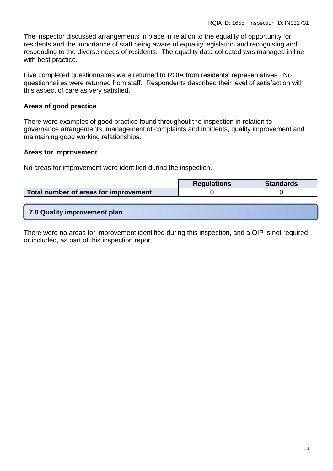The inspector discussed arrangements in place in relation to the equality of opportunity for residents and the importance of staff being aware of equality legislation and recognising and responding to the diverse needs of residents. The equality data collected was managed in line with best practice.

Five completed questionnaires were returned to RQIA from residents' representatives. No questionnaires were returned from staff. Respondents described their level of satisfaction with this aspect of care as very satisfied.

# **Areas of good practice**

There were examples of good practice found throughout the inspection in relation to governance arrangements, management of complaints and incidents, quality improvement and maintaining good working relationships.

## **Areas for improvement**

No areas for improvement were identified during the inspection.

|                                       | <b>Requlations</b> | <b>Standards</b> |
|---------------------------------------|--------------------|------------------|
| Total number of areas for improvement |                    |                  |

There were no areas for improvement identified during this inspection, and a QIP is not required or included, as part of this inspection report.